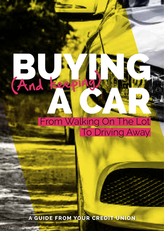# And keeping (And Keep From Walking On The Lot To Driving Away

BUYING NG

### 1 **A GUIDE FROM YOUR CREDIT UNION**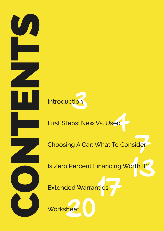



### Extended Warranties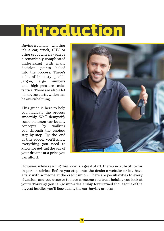## Introduction

Buying a vehicle - whether it's a car, truck, SUV or other set of wheels - can be a remarkably complicated undertaking, with many decision points baked into the process. There's a lot of industry-specific jargon, large numbers and high-pressure sales tactics. There are also a lot of moving parts, which can be overwhelming.

This guide is here to help you navigate the process smoothly. We'll demystify some common car-buying concepts by walking you through the choices step-by-step. By the end of this ebook, you'll know everything you need to know for getting the car of your dreams at a price you can afford.



However, while reading this book is a great start, there's no substitute for in-person advice. Before you step onto the dealer's website or lot, have a talk with someone at the credit union. There are peculiarities to every situation, and you deserve to have someone you trust helping you look at yours. This way, you can go into a dealership forewarned about some of the biggest hurdles you'll face during the car-buying process.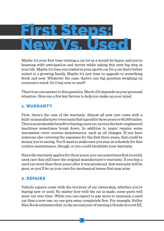Maybe it's your first time visiting a car lot as a would-be buyer, and you're beaming with anticipation and nerves while taking this next big step in your life. Maybe it's time you traded in your sports car for a car that's better suited to a growing family. Maybe it's just time to upgrade to something fresh and new. Whatever the case, there's one big question weighing on everyone's mind: Do I buy new or used?

There's no one answer to this question. Much of it depends on your personal situation. Here are a few key factors to help you make up your mind.

#### 1. WARRANTY

First, there's the case of the warranty. Almost all new cars come with a built-in manufacturer's warranty that's good for three years or 60,000 miles. This is an invaluable benefit to buying a new car, as even the best-engineered machines sometimes break down. In addition to major repairs, some warranties cover routine maintenance, such as oil changes. If you have someone else covering the expenses for the first three years, that could be money you're saving. You'll want to make sure you stay on schedule for that routine maintenance, though, or you could invalidate your warranty.

Since the warranty applies for three years, you can sometimes find recently used cars that still have the original manufacturer's warranty. If you buy a used car more than three years after it was produced, that warranty will be gone, so you'll be on your own for mechanical issues that may arise.

#### 2. REPAIRS

Vehicle repairs come with the territory of car ownership, whether you're buying new or used. No matter how well the car is made, some parts will wear out over time. While you can expect to pay more to maintain a used car than a new one, no one gets away completely free. For example, Kelley Blue Book estimates that, in the second year of owning a Honda Accord EX,

## First Steps: New Vs. Used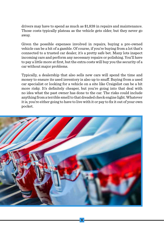drivers may have to spend as much as \$1,838 in repairs and maintenance. Those costs typically plateau as the vehicle gets older, but they never go away.

Given the possible expenses involved in repairs, buying a pre-owned vehicle can be a bit of a gamble. Of course, if you're buying from a lot that's connected to a trusted car dealer, it's a pretty safe bet. Many lots inspect incoming cars and perform any necessary repairs or polishing. You'll have to pay a little more at first, but the extra costs will buy you the security of a car without major problems.

Typically, a dealership that also sells new cars will spend the time and money to ensure its used inventory is also up to snuff. Buying from a used car specialist or looking for a vehicle on a site like Craigslist can be a bit more risky. It's definitely cheaper, but you're going into that deal with no idea what the past owner has done to the car. The risks could include anything from a terrible smell to that dreaded check engine light. Whatever it is, you're either going to have to live with it or pay to fix it out of your own pocket.



5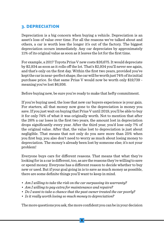#### 3. DEPRECIATION

Depreciation is a big concern when buying a vehicle. Depreciation is an asset's loss of value over time. For all the reasons we've talked about and others, a car is worth less the longer it's out of the factory. The biggest depreciation occurs immediately. Any car depreciates by approximately 11% of its original value as soon as it leaves the lot for the first time.

For example, a 2017 Toyota Prius V new costs \$26,675. It would depreciate by \$2,934 as soon as it rolls off the lot. That's \$2,934 you'll never see again, and that's only on the first day. Within the first two years, provided you've kept the car in near-perfect shape, the car will be worth just 74% of its initial purchase price. So that same Prius V would now be worth only \$19,739 meaning you've lost \$6,936.

Before buying new, be sure you're ready to make that hefty commitment.

If you're buying used, the loss that new car buyers experience is your gain. For starters, all that money now gone to the depreciation is money you save. If you just wait on buying that Prius V until 2019, you'll be able to buy it for only 74% of what it was originally worth. Not to mention that after the 26% a car loses in the first two years, the amount lost in depreciation drops significantly every year. After the third year, you'd lose only 7% of the original value. After that, the value lost to depreciation is just about negligible. That means that not only do you save more than 25% when you first buy, you also don't need to worry as much about losing money to depreciation. The money's already been lost by someone else; it's not your problem!

Everyone buys cars for different reasons. That means that what they're looking for in a car is different, too, as are the reasons they're willing to save or spend money. Everyone has a different reason to decide whether to buy new or used. But if your goal going in is to save as much money as possible, there are some definite things you'll want to keep in mind.

- *• Am I willing to take the risk on the car surpassing its warranty?*
- *• Am I willing to pay extra for maintenance and repairs?*
- *• Do I wantto take a chance thatthe past owner treated the car poorly?*
- *• Is it really worth losing so much money to depreciation?*

The more questions you ask, the more confident you can be in your decision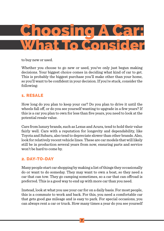to buy new or used.

Whether you choose to go new or used, you've only just begun making decisions. Your biggest choice comes in deciding what kind of car to get. This is probably the biggest purchase you'll make other than your home, so you'll want to be confident in your decision. If you're stuck, consider the following:

#### 1. RESALE

How long do you plan to keep your car? Do you plan to drive it until the wheels fall off, or do you see yourself wanting to upgrade in a few years? If this is a car you plan to own for less than five years, you need to look at the potential resale value.

Cars from luxury brands, such as Lexus and Acura, tend to hold their value fairly well. Cars with a reputation for longevity and dependability, like Toyota and Subaru, also tend to depreciate slower than other brands. Also, look for relatively recent vehicle lines. These are car models that will likely still be in production several years from now, ensuring parts and service won't be hard to come by.

#### 2. DAY-TO-DAY

Many people start car shopping by making a list of things they occasionally do or want to do someday. They may want to own a boat, so they need a car that can tow. They go camping sometimes, so a car that can offroad is preferred. This is a good way to end up with more car than you need.

Instead, look at what you use your car for on a daily basis. For most people, this is a commute to work and back. For this, you need a comfortable car that gets good gas mileage and is easy to park. For special occasions, you can always rent a car or truck. How many times a year do you see yourself

### Choosing A Car: What To Consider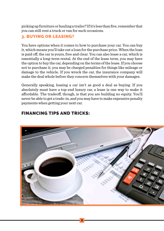picking up furniture or hauling a trailer? If it's less than five, remember that you can still rent a truck or van for such occasions.

#### 3. BUYING OR LEASING?

You have options when it comes to how to purchase your car. You can buy it, which means you'll take out a loan for the purchase price. When the loan is paid off, the car is yours, free and clear. You can also lease a car, which is essentially a long-term rental. At the end of the lease term, you may have the option to buy the car, depending on the terms of the lease. If you choose not to purchase it, you may be charged penalties for things like mileage or damage to the vehicle. If you wreck the car, the insurance company will make the deal whole before they concern themselves with your damages.

Generally speaking, leasing a car isn't as good a deal as buying. If you absolutely must have a top-end luxury car, a lease is one way to make it affordable. The tradeoff, though, is that you are building no equity. You'll never be able to get a trade-in, and you may have to make expensive penalty payments when getting your next car.

#### FINANCING TIPS AND TRICKS:

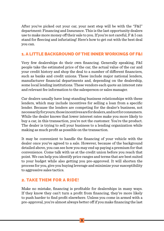After you've picked out your car, your next step will be with the "F&I" department: Financing and Insurance. This is the last opportunity dealers use to make more money off their sale to you. If you're not careful, F & I can stand for fleecing and infuriating! Here's how to get out with the best deal you can.

#### 1. A LITTLE BACKGROUND OF THE INNER WORKINGS OF F&I

Very few dealerships do their own financing. Generally speaking, F&I people take the estimated price of the car, the actual value of the car and your credit history and shop the deal to a number of different financiers, such as banks and credit unions. These include major national lenders, manufacturer financial departments and, depending on the dealership, some local lending institutions. These vendors each quote an interest rate and relevant fee information to the salesperson or sales manager.

Car dealers usually have long-standing business relationships with these lenders, which may include incentives for selling a loan from a specific lender. Because the lenders are competing for the dealer's business, not necessarily for yours, those incentives are for dealers, and not for consumers. While the dealer knows that lower interest rates make you more likely to buy a car, in this transaction, you're not the customer. You're the product. The dealer is trying to sell your business to a lending organization while making as much profit as possible on the transaction.

It may be convenient to handle the financing of your vehicle with the dealer once you've agreed to a sale. However, because of the background detailed above, you can see how you may end up paying a premium for that convenience. Come talk with us at the credit union before you reach that point. We can help you identify price ranges and terms that are best suited to your budget while also getting you pre-approved. It will shorten the process for you, give you buying leverage and minimize your susceptibility to aggressive sales tactics.

#### 2. TAKE THEM FOR A RIDE!

Make no mistake, financing is profitable for dealerships in many ways. If they know they can't turn a profit from financing, they're more likely to push harder to find profit elsewhere. Unless you come in armed with a pre-approval, you're almost always better off if you make financing the last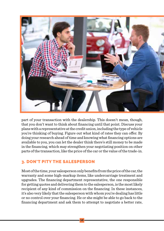

part of your transaction with the dealership. This doesn't mean, though, that you don't want to think about financing until that point. Discuss your plans with a representative at the credit union, including the type of vehicle you're thinking of buying. Figure out what kind of rates they can offer. By doing your research ahead of time and knowing what financing options are available to you, you can let the dealer think there's still money to be made in the financing, which may strengthen your negotiating position on other parts of the transaction, like the price of the car or the value of the trade-in.

#### 3. DON'T PITY THE SALESPERSON

Most of the time, your salesperson only benefits from the price of the car, the warranty and some high-markup items, like undercarriage treatment and upgrades. The financing department representative, the one responsible for getting quotes and delivering them to the salesperson, is the most likely recipient of any kind of commission on the financing. In these instances, it's also very likely that the salesperson with whom you're dealing has little or no control over your financing. He or she might be able to go back to the financing department and ask them to attempt to negotiate a better rate,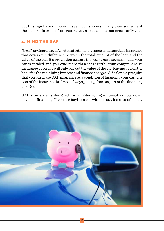but this negotiation may not have much success. In any case, someone at the dealership profits from getting you a loan, and it's not necessarily you.

#### 4. MIND THE GAP

"GAP," or Guaranteed Asset Protection insurance, is automobile insurance that covers the difference between the total amount of the loan and the value of the car. It's protection against the worst-case scenario, that your car is totaled and you owe more than it is worth. Your comprehensive insurance coverage will only pay out the value of the car, leaving you on the hook for the remaining interest and finance charges. A dealer may require that you purchase GAP insurance as a condition of financing your car. The cost of the insurance is almost always paid up front as part of the financing charges.

GAP insurance is designed for long-term, high-interest or low down payment financing. If you are buying a car without putting a lot of money

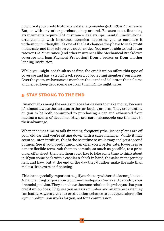down, or if your credit history is not stellar, consider getting GAP insurance. But, as with any other purchase, shop around. Because most financing arrangements require GAP insurance, dealerships maintain institutional arrangements with insurance agencies, expecting you to purchase it without much thought. It's one of the last chances they have to seek profit on the sale, and they rely on you not to notice. You may be able to find better rates on GAP insurance (and other insurances like Mechanical Breakdown coverage and loan Payment Protection) from a broker or from another lending institution.

While you might not think so at first, the credit union offers this type of coverage and has a strong track record of protecting members' purchases. Over the years, we have saved members thousands of dollars on their claims and helped keep debt scenarios from turning into nightmares.

#### 5. STAY STRONG TO THE END

Financing is among the easiest places for dealers to make money because it's almost always the last stop in the car-buying process. They are counting on you to be both committed to purchasing a car and exhausted from making a series of decisions. High-pressure salespeople use this fact to their advantage.

When it comes time to talk financing, frequently the license plates are off your old car and you're sitting down with a sales manager. While it may seem counter-intuitive, this is the best time to walk away and get a second opinion. See if your credit union can offer you a better rate, lower fees or a more flexible term. Ask them to commit, as much as possible, to a price on an offer sheet, then tell them you'd like to take some time to think about it. If you come back with a cashier's check in hand, the sales manager may hem and haw, but at the end of the day they'd rather make the sale than make a little extra on financing.

This is an especially important step if your history with credit is complicated. A giant lending corporation won't see the steps you've taken to solidify your financial position. They don't have the same relationship with you that your credit union does. They see you as a risk number and an interest rate they can justify. Always give your credit union a chance to beat the dealer's offer - your credit union works for you, not for a commission.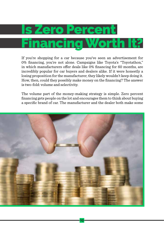### Is Zero Percent Financing Worth It?

If you're shopping for a car because you've seen an advertisement for 0% financing, you're not alone. Campaigns like Toyota's "Toyotathon," in which manufacturers offer deals like 0% financing for 60 months, are incredibly popular for car buyers and dealers alike. If it were honestly a losing proposition for the manufacturer, they likely wouldn't keep doing it. How, then, could they possibly make money on the financing? The answer is two-fold: volume and selectivity.

The volume part of the money-making strategy is simple. Zero percent financing gets people on the lot and encourages them to think about buying a specific brand of car. The manufacturer and the dealer both make some

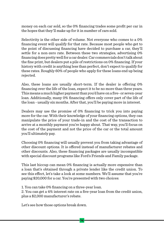money on each car sold, so the 0% financing trades some profit per car in the hopes that they'll make up for it in number of cars sold.

Selectivity is the other side of volume. Not everyone who comes to a 0% financing event will qualify for that rate. Because most people who get to the point of discussing financing have decided to purchase a car, they'll settle for a non-zero rate. Between these two strategies, advertising 0% financing does pretty well for a car dealer. Car commercials don't talk about the fine print, but dealers put a pile of restrictions on 0% financing. If your history with credit is anything less than perfect, don't expect to qualify for these rates. Roughly 60% of people who apply for these loans end up being rejected.

Also, these loans are usually short-term. If the dealer is offering 0% financing over the life of the loan, expect it to be no more than three years. This means a much higher payment than you'd have on a five- or seven-year loan. Additionally, many 0% financing offers only cover part of the life of the loan - usually six months. After that, you'll be paying more in interest.

Dealers may use the promise of 0% financing to trick you into paying more for the car. With their knowledge of your financing options, they can manipulate the price of your trade-in and the cost of the transaction to arrive at a monthly payment you're happy about. That way, you'll focus on the cost of the payment and not the price of the car or the total amount you'll ultimately pay.

Choosing 0% financing will usually prevent you from taking advantage of other discount options. It is offered instead of manufacturer rebates and other discounts. Also, these financing packages are usually incompatible with special discount programs like Ford's Friends and Family package.

This last hiccup can mean 0% financing is actually more expensive than a loan that's obtained through a private lender like the credit union. To see this effect, let's take a look at some numbers. We'll assume that you're paying \$20,000 for a car. You're presented with two choices:

1. You can take 0% financing on a three-year loan.

2. You can get a 4% interest rate on a five-year loan from the credit union, plus a \$2,000 manufacturer's rebate.

Let's see how those options break down.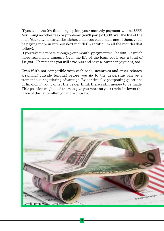If you take the 0% financing option, your monthly payment will be \$555. Assuming no other fees or problems, you'll pay \$20,000 over the life of the loan. Your payments will be higher, and if you can't make one of them, you'll be paying more in interest next month (in addition to all the months that follow).

If you take the rebate, though, your monthly payment will be \$331 - a much more reasonable amount. Over the life of the loan, you'll pay a total of \$19,890. That means you will save \$20 and have a lower car payment, too.

Even if it's not compatible with cash back incentives and other rebates, arranging outside funding before you go to the dealership can be a tremendous negotiating advantage. By continually postponing questions of financing, you can let the dealer think there's still money to be made. This position might lead them to give you more on your trade-in, lower the price of the car or offer you more options.

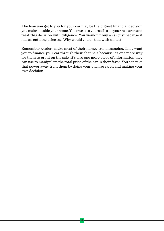

The loan you get to pay for your car may be the biggest financial decision you make outside your home. You owe it to yourself to do your research and treat this decision with diligence. You wouldn't buy a car just because it had an enticing price tag. Why would you do that with a loan?

Remember, dealers make most of their money from financing. They want you to finance your car through their channels because it's one more way for them to profit on the sale. It's also one more piece of information they can use to manipulate the total price of the car in their favor. You can take that power away from them by doing your own research and making your own decision.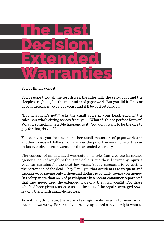

You've finally done it!

You've gone through the test drives, the sales talk, the self-doubt and the sleepless nights - plus the mountains of paperwork. But you did it. The car of your dreams is yours. It's yours and it'll be perfect forever.

"But what if it's not?" asks the small voice in your head, echoing the salesman who's sitting across from you. "What if it's not perfect forever? What if something terrible happens to it? You don't want to be the one to pay for that, do you?"

You don't, so you fork over another small mountain of paperwork and another thousand dollars. You are now the proud owner of one of the car industry's biggest cash vacuums: the extended warranty.

The concept of an extended warranty is simple. You give the insurance agency a loan of roughly a thousand dollars, and they'll cover any injuries your car sustains for the next few years. You're supposed to be getting the better end of the deal. They'll tell you that accidents are frequent and expensive, so paying only a thousand dollars is actually saving you money. In reality, more than 55% of participants in a recent consumer report said that they never used the extended warranty they had bought. For those who had been given reason to use it, the cost of the repairs averaged \$837, leaving them with a sizable net loss.

As with anything else, there are a few legitimate reasons to invest in an extended warranty. For one, if you're buying a used car, you might want to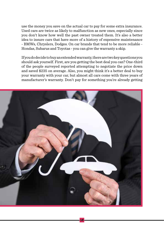use the money you save on the actual car to pay for some extra insurance. Used cars are twice as likely to malfunction as new ones, especially since you don't know how well the past owner treated them. It's also a better idea to insure cars that have more of a history of expensive maintenance - BMWs, Chryslers, Dodges. On car brands that tend to be more reliable - Hondas, Subarus and Toyotas - you can give the warranty a skip.

If you do decide to buy an extended warranty, there are two key questions you should ask yourself. First, are you getting the best deal you can? One-third of the people surveyed reported attempting to negotiate the price down and saved \$235 on average. Also, you might think it's a better deal to buy your warranty with your car, but almost all cars come with three years of manufacturer's warranty. Don't pay for something you're already getting

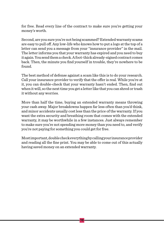

for free. Read every line of the contract to make sure you're getting your money's worth.

Second, are you sure you're not being scammed? Extended warranty scams are easy to pull off. Any low-life who knows how to put a logo at the top of a letter can send you a message from your "insurance provider" in the mail. The letter informs you that your warranty has expired and you need to buy it again. You send them a check. A foot-thick already-signed contract comes back. Then, the minute you find yourself in trouble, they're nowhere to be found.

The best method of defense against a scam like this is to do your research. Call your insurance provider to verify that the offer is real. While you're at it, you can double-check that your warranty hasn't ended. Then, find out when it will, so the next time you get a letter like that you can shred or trash it without any worries.

More than half the time, buying an extended warranty means throwing your cash away. Major breakdowns happen far less often than you'd think, and minor accidents usually cost less than the price of the warranty. If you want the extra security and breathing room that comes with the extended warranty, it may be worthwhile in a few instances. Just always remember to make sure you're not spending more money than you need to, and verify you're not paying for something you could get for free.

Most important, double check everything by calling your insurance provider and reading all the fine print. You may be able to come out of this actually having saved money on an extended warranty.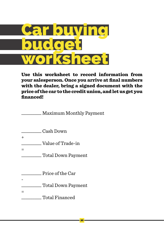

Use this worksheet to record information from your salesperson. Once you arrive at final numbers with the dealer, bring a signed document with the price of the car to the credit union, and let us get you financed!

\_\_\_\_\_\_\_\_\_ Maximum Monthly Payment

\_\_\_\_\_\_\_\_\_ Cash Down

+

Value of Trade-in

=

\_\_\_\_\_\_\_\_\_ Total Down Payment

\_\_\_\_\_\_\_\_\_ Price of the Car

-

#### \_\_\_\_\_\_\_\_\_ Total Down Payment

#### Total Financed

=